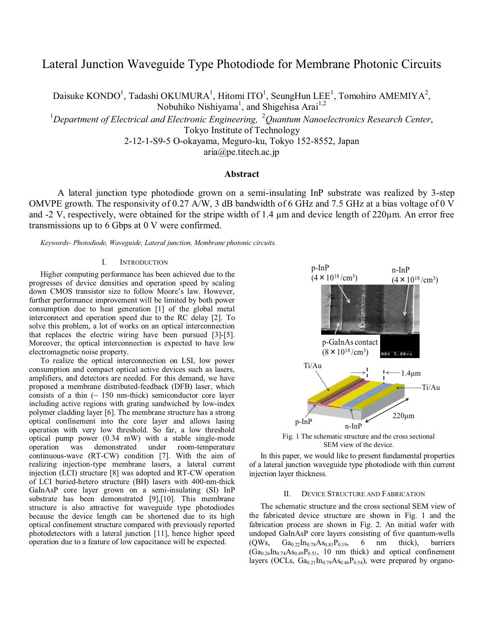# Lateral Junction Waveguide Type Photodiode for Membrane Photonic Circuits

Daisuke KONDO<sup>1</sup>, Tadashi OKUMURA<sup>1</sup>, Hitomi ITO<sup>1</sup>, SeungHun LEE<sup>1</sup>, Tomohiro AMEMIYA<sup>2</sup>,

Nobuhiko Nishiyama<sup>1</sup>, and Shigehisa Arai<sup>1,2</sup>

1 *Department of Electrical and Electronic Engineering,* <sup>2</sup>*Quantum Nanoelectronics Research Center*,

Tokyo Institute of Technology

2-12-1-S9-5 O-okayama, Meguro-ku, Tokyo 152-8552, Japan

aria@pe.titech.ac.jp

# **Abstract**

 A lateral junction type photodiode grown on a semi-insulating InP substrate was realized by 3-step OMVPE growth. The responsivity of 0.27 A/W, 3 dB bandwidth of 6 GHz and 7.5 GHz at a bias voltage of 0 V and -2 V, respectively, were obtained for the stripe width of 1.4 µm and device length of 220µm. An error free transmissions up to 6 Gbps at 0 V were confirmed.

*Keywords- Photodiode, Waveguide, Lateral junction, Membrane photonic circuits.* 

## I. INTRODUCTION

Higher computing performance has been achieved due to the progresses of device densities and operation speed by scaling down CMOS transistor size to follow Moore's law. However, further performance improvement will be limited by both power consumption due to heat generation [1] of the global metal interconnect and operation speed due to the RC delay [2]. To solve this problem, a lot of works on an optical interconnection that replaces the electric wiring have been pursued [3]-[5]. Moreover, the optical interconnection is expected to have low electromagnetic noise property.

To realize the optical interconnection on LSI, low power consumption and compact optical active devices such as lasers, amplifiers, and detectors are needed. For this demand, we have proposed a membrane distributed-feedback (DFB) laser, which consists of a thin  $($   $\sim$  150 nm-thick) semiconductor core layer including active regions with grating sandwiched by low-index polymer cladding layer [6]. The membrane structure has a strong optical confinement into the core layer and allows lasing operation with very low threshold. So far, a low threshold optical pump power (0.34 mW) with a stable single-mode room-temperature continuous-wave (RT-CW) condition [7]. With the aim of realizing injection-type membrane lasers, a lateral current injection (LCI) structure [8] was adopted and RT-CW operation of LCI buried-hetero structure (BH) lasers with 400-nm-thick GaInAsP core layer grown on a semi-insulating (SI) InP substrate has been demonstrated [9],[10]. This membrane structure is also attractive for waveguide type photodiodes because the device length can be shortened due to its high optical confinement structure compared with previously reported photodetectors with a lateral junction [11], hence higher speed operation due to a feature of low capacitance will be expected.



Fig. 1 The schematic structure and the cross sectional SEM view of the device.

In this paper, we would like to present fundamental properties of a lateral junction waveguide type photodiode with thin current injection layer thickness.

# II. DEVICE STRUCTURE AND FABRICATION

The schematic structure and the cross sectional SEM view of the fabricated device structure are shown in Fig. 1 and the fabrication process are shown in Fig. 2. An initial wafer with undoped GaInAsP core layers consisting of five quantum-wells  $(QWs, Ga_{0.22}In_{0.78}As_{0.81}P_{0.19}, 6 mm thick), barriers$  $(Ga_{0.26}In_{0.74}As_{0.49}P_{0.51}$ , 10 nm thick) and optical confinement layers (OCLs,  $Ga_{0.21}In_{0.79}As_{0.46}P_{0.54}$ ), were prepared by organo-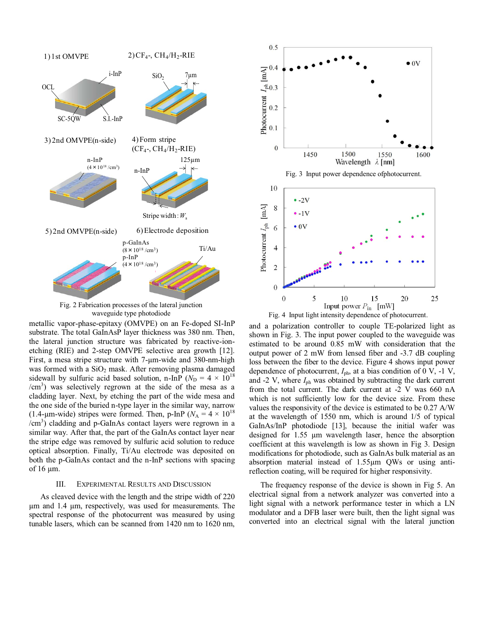

Fig. 2 Fabrication processes of the lateral junction

metallic vapor-phase-epitaxy (OMVPE) on an Fe-doped SI-InP substrate. The total GaInAsP layer thickness was 380 nm. Then, the lateral junction structure was fabricated by reactive-ionetching (RIE) and 2-step OMVPE selective area growth [12]. First, a mesa stripe structure with 7-µm-wide and 380-nm-high was formed with a  $SiO<sub>2</sub>$  mask. After removing plasma damaged sidewall by sulfuric acid based solution, n-InP ( $N_D = 4 \times 10^{18}$ ) /cm<sup>3</sup>) was selectively regrown at the side of the mesa as a cladding layer. Next, by etching the part of the wide mesa and the one side of the buried n-type layer in the similar way, narrow (1.4-µm-wide) stripes were formed. Then, p-InP ( $N_A = 4 \times 10^{18}$ ) /cm<sup>3</sup> ) cladding and p-GaInAs contact layers were regrown in a similar way. After that, the part of the GaInAs contact layer near the stripe edge was removed by sulfuric acid solution to reduce optical absorption. Finally, Ti/Au electrode was deposited on both the p-GaInAs contact and the n-InP sections with spacing of 16 µm.

#### III. EXPERIMENTAL RESULTS AND DISCUSSION

As cleaved device with the length and the stripe width of 220 µm and 1.4 µm, respectively, was used for measurements. The spectral response of the photocurrent was measured by using tunable lasers, which can be scanned from 1420 nm to 1620 nm,



waveguide type photodiode Fig. 4 Input light intensity dependence of photocurrent.

and a polarization controller to couple TE-polarized light as shown in Fig. 3. The input power coupled to the waveguide was estimated to be around 0.85 mW with consideration that the output power of 2 mW from lensed fiber and -3.7 dB coupling loss between the fiber to the device. Figure 4 shows input power dependence of photocurrent,  $I_{ph}$ , at a bias condition of 0 V, -1 V, and -2 V, where  $I_{ph}$  was obtained by subtracting the dark current from the total current. The dark current at -2 V was 660 nA which is not sufficiently low for the device size. From these values the responsivity of the device is estimated to be 0.27 A/W at the wavelength of 1550 nm, which is around 1/5 of typical GaInAs/InP photodiode [13], because the initial wafer was designed for 1.55 µm wavelength laser, hence the absorption coefficient at this wavelength is low as shown in Fig 3. Design modifications for photodiode, such as GaInAs bulk material as an absorption material instead of 1.55µm QWs or using antireflection coating, will be required for higher responsivity.

The frequency response of the device is shown in Fig 5. An electrical signal from a network analyzer was converted into a light signal with a network performance tester in which a LN modulator and a DFB laser were built, then the light signal was converted into an electrical signal with the lateral junction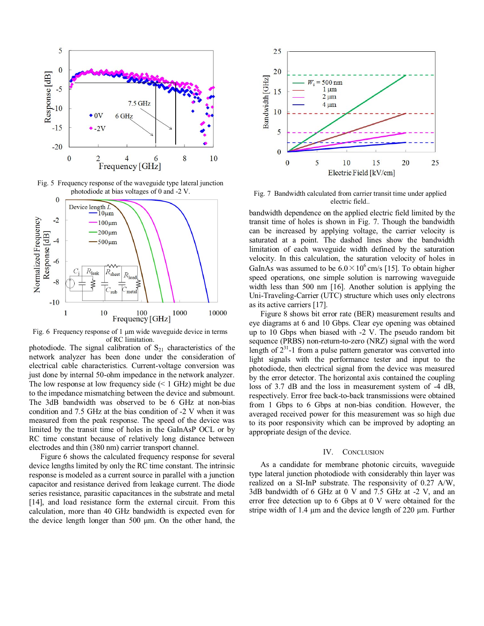

Fig. 5 Frequency response of the waveguide type lateral junction photodiode at bias voltages of 0 and -2 V.



Fig. 6 Frequency response of 1 µm wide waveguide device in terms of RC limitation.

photodiode. The signal calibration of  $S_{21}$  characteristics of the network analyzer has been done under the consideration of electrical cable characteristics. Current-voltage conversion was just done by internal 50-ohm impedance in the network analyzer. The low response at low frequency side  $(< 1$  GHz) might be due to the impedance mismatching between the device and submount. The 3dB bandwidth was observed to be 6 GHz at non-bias condition and 7.5 GHz at the bias condition of -2 V when it was measured from the peak response. The speed of the device was limited by the transit time of holes in the GaInAsP OCL or by RC time constant because of relatively long distance between electrodes and thin (380 nm) carrier transport channel.

Figure 6 shows the calculated frequency response for several device lengths limited by only the RC time constant. The intrinsic response is modeled as a current source in parallel with a junction capacitor and resistance derived from leakage current. The diode series resistance, parasitic capacitances in the substrate and metal [14], and load resistance form the external circuit. From this calculation, more than 40 GHz bandwidth is expected even for the device length longer than 500 μm. On the other hand, the



Fig. 7 Bandwidth calculated from carrier transit time under applied electric field..

bandwidth dependence on the applied electric field limited by the transit time of holes is shown in Fig. 7. Though the bandwidth can be increased by applying voltage, the carrier velocity is saturated at a point. The dashed lines show the bandwidth limitation of each waveguide width defined by the saturation velocity. In this calculation, the saturation velocity of holes in GaInAs was assumed to be  $6.0 \times 10^6$  cm/s [15]. To obtain higher speed operations, one simple solution is narrowing waveguide width less than 500 nm [16]. Another solution is applying the Uni-Traveling-Carrier (UTC) structure which uses only electrons as its active carriers [17].

Figure 8 shows bit error rate (BER) measurement results and eye diagrams at 6 and 10 Gbps. Clear eye opening was obtained up to 10 Gbps when biased with -2 V. The pseudo random bit sequence (PRBS) non-return-to-zero (NRZ) signal with the word length of  $2^{31}$ -1 from a pulse pattern generator was converted into light signals with the performance tester and input to the photodiode, then electrical signal from the device was measured by the error detector. The horizontal axis contained the coupling loss of 3.7 dB and the loss in measurement system of -4 dB, respectively. Error free back-to-back transmissions were obtained from 1 Gbps to 6 Gbps at non-bias condition. However, the averaged received power for this measurement was so high due to its poor responsivity which can be improved by adopting an appropriate design of the device.

## IV. CONCLUSION

As a candidate for membrane photonic circuits, waveguide type lateral junction photodiode with considerably thin layer was realized on a SI-InP substrate. The responsivity of 0.27 A/W, 3dB bandwidth of 6 GHz at 0 V and 7.5 GHz at -2 V, and an error free detection up to 6 Gbps at 0 V were obtained for the stripe width of 1.4 µm and the device length of 220 µm. Further